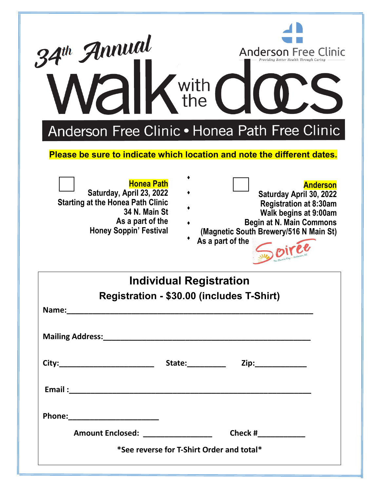| 34th Annual<br><b>alk</b> with                                                                                                                                                                                                 | <b>Anderson Free Clinic</b><br>Providing Better Health Through Caring                                                                                                                                 |
|--------------------------------------------------------------------------------------------------------------------------------------------------------------------------------------------------------------------------------|-------------------------------------------------------------------------------------------------------------------------------------------------------------------------------------------------------|
| Anderson Free Clinic • Honea Path Free Clinic<br>Please be sure to indicate which location and note the different dates.                                                                                                       |                                                                                                                                                                                                       |
| <b>Honea Path</b><br>Saturday, April 23, 2022<br><b>Starting at the Honea Path Clinic</b><br>34 N. Main St<br>As a part of the<br><b>Honey Soppin' Festival</b>                                                                | <b>Anderson</b><br>Saturday April 30, 2022<br><b>Registration at 8:30am</b><br>Walk begins at 9:00am<br><b>Begin at N. Main Commons</b><br>(Magnetic South Brewery/516 N Main St)<br>As a part of the |
| Individual Registration                                                                                                                                                                                                        |                                                                                                                                                                                                       |
| Registration - \$30.00 (includes T-Shirt)                                                                                                                                                                                      |                                                                                                                                                                                                       |
| Name: 1990 - 1990 - 1990 - 1990 - 1991 - 1992 - 1993 - 1994 - 1995 - 1996 - 1997 - 1998 - 1999 - 1999 - 1999 - 1999 - 1999 - 1999 - 1999 - 1999 - 1999 - 1999 - 1999 - 1999 - 1999 - 1999 - 1999 - 1999 - 1999 - 1999 - 1999 - |                                                                                                                                                                                                       |
|                                                                                                                                                                                                                                |                                                                                                                                                                                                       |
| Amount Enclosed: ___________________                                                                                                                                                                                           |                                                                                                                                                                                                       |
| *See reverse for T-Shirt Order and total*                                                                                                                                                                                      |                                                                                                                                                                                                       |